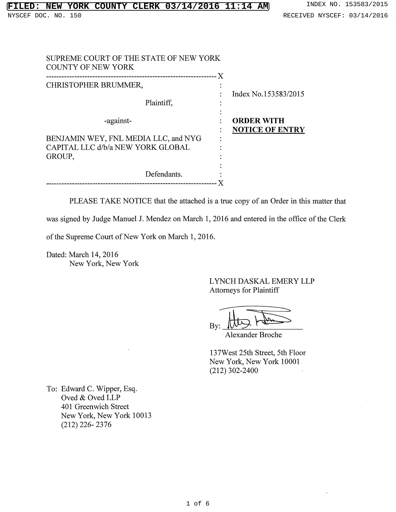| SUPREME COURT OF THE STATE OF NEW YORK<br><b>COUNTY OF NEW YORK</b>       |                                             |
|---------------------------------------------------------------------------|---------------------------------------------|
| ---------------------------<br>CHRISTOPHER BRUMMER,                       | ΣX.<br>Index No.153583/2015                 |
| Plaintiff.                                                                |                                             |
| -against-                                                                 | <b>ORDER WITH</b><br><b>NOTICE OF ENTRY</b> |
| BENJAMIN WEY, FNL MEDIA LLC, and NYG<br>CAPITAL LLC d/b/a NEW YORK GLOBAL |                                             |
| GROUP,                                                                    |                                             |
| Defendants.                                                               |                                             |

PLEASE TAKE NOTICE that the attached is a true copy of an Order in this matter that

was signed by Judge Manuel 1. Mendez on March 1, 2016 and entered in the office of the Clerk

of the Supreme Court of New York on March 1,2016.

Dated: March 14,2016 New York, New York

> LYNCH DASKAL EMERY LLP Attorneys for Plaintiff

By:

Alexander Broche

137West 25th Street, 5th Floor New York, New York 10001 (212) 302-2400

To: Edward C. Wipper, Esq. Oved & Oved LLP 401 Greenwich Street New York, New York 10013 (212) 226- 2376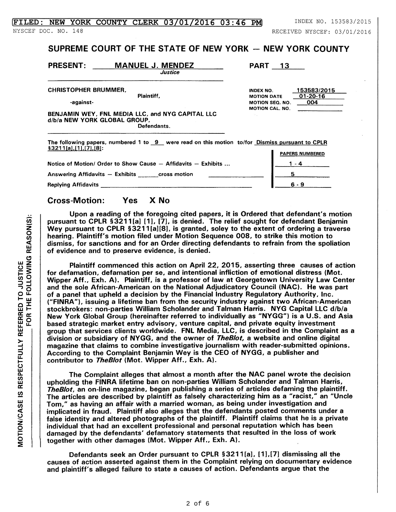## $\textbf{THED: NEW YORK COUNTY CLERK 03/01/2016 03:46 PM}$  INDEX NO. 153583/2015

NYSCEF DOC. NO. 148 RECEIVED NYSCEF: 03/01/2016

## SUPREME COURT OF THE STATE OF NEW YORK  $-$  NEW YORK COUNTY

PRESENT: **MANUEL J. MENDEZ** 

PART 13

CHRISTOPHER BRUMMER,

-against-

Plaintiff.

*Justice* 

INDEX NO. MOTION DATE MOTION SEQ. NO. MOTION CAL. NO. 153583/2015 01-20-16 004

## BENJAMIN WEY, FNL MEDIA LLC, and NYG CAPITAL LLC d/b/a NEW YORK GLOBAL GROUP. Defendants.

The following papers, numbered 1 to  $9$  were read on this motion to/for Dismiss pursuant to CPLR  $§3211[a],[1],[7],[8]:$ **PAPERS NUMBERED** 

| Notice of Motion/ Order to Show Cause - Affidavits - Exhibits |     |
|---------------------------------------------------------------|-----|
| Answering Affidavits - Exhibits<br>cross motion               |     |
| <b>Replying Affidavits</b>                                    | 6.9 |

## Cross-Motion: Yes X No

Upon a reading of the foregoing cited papers, it is Ordered that defendant's motion pursuant to CPLR §3211[a] [1], [7], is denied. The relief sought for defendant Benjamin Wey pursuant to CPLR §3211 [a][8], is granted, soley to the extent of ordering a traverse hearing. Plaintiff's motion filed under Motion Sequence 008, to strike this motion to dismiss, for sanctions and for an Order directing defendants to refrain from the spoliation of evidence and to preserve evidence, is denied.

Plaintiff commenced this action on April 22, 2015, asserting three causes of action for defamation, defamation per se, and intentional infliction of emotional distress (Mot. Wipper Aff., Exh. A). Plaintiff, is a professor of law at Georgetown University Law Center and the sole African-American on the National Adjudicatory Council (NAC). He was part of a panel that upheld a decision by the Financial Industry Regulatory Authority. Inc. ("FINRA"), issuing a lifetime ban from the security industry against two African-American stockbrokers: non-parties William Scholander and Talman Harris. NYG Capital LLC d/b/a New York Global Group (hereinafter referred to individually as "NYGG") is a U.S. and Asia based strategic market entry advisory, venture capital, and private equity investment group that services clients worldwide. FNL Media, LLC. is described in the Complaint as a division or subsidiary of NYGG, and the owner of TheB/ot, a website and online digital magazine that claims to combine investigative journalism with reader-submitted opinions . According to the Complaint Benjamin Wey is the CEO of NYGG. a publisher and contributor to TheBlot (Mot. Wipper Aff., Exh. A).

The Complaint alleges that almost a month after the NAC panel wrote the decision upholding the FINRA lifetime ban on non-parties William Scholander and Talman Harris. TheBlot. an on-line magazine, began publishing a series of articles defaming the plaintiff. The articles are described by plaintiff as falsely characterizing him as a "racist," an "Uncle Tom," as having an affair with a married woman, as being under investigation and implicated in fraud. Plaintiff also alleges that the defendants posted comments under a false identity and altered photographs of the plaintiff. Plaintiff claims that he is a private individual that had an excellent professional and personal reputation which has been damaged by the defendants' defamatory statements that resulted in the loss of work together with other damages (Mot. Wipper Aff., Exh. A).

Defendants seek an Order pursuant to CPLR § 3211[a], [1], [7] dismissing all the causes of action asserted against them in the Complaint relying on documentary evidence and plaintiff's alleged failure to state a causes of action. Defendants argue that the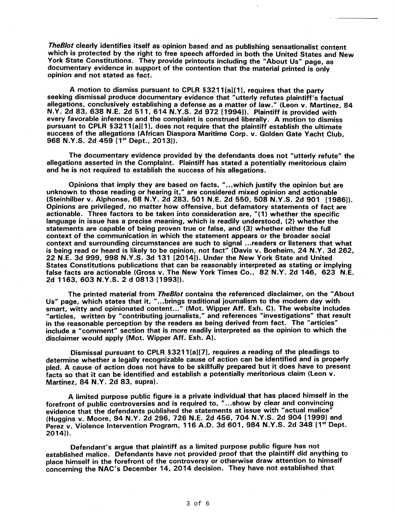TheBlot clearly identifies itself as opinion based and as publishing sensationalist content which is protected by the right to free speech afforded in both the United States and New York State Constitutions. They provide printouts including the "About Us" page, as documentary evidence in support of the contention that the material printed is only opinion and not stated as fact.

A motion to dismiss pursuant to CPLR §3211[a][1], requires that the party seeking dismissal produce documentary evidence that "utterly refutes plaintiff's factual allegations, conclusively establishing a defense as a matter of law." (Leon v. Martinez, 84 N.Y. 2d 83, 638 N.E. 2d 511, 614 N.Y.S. 2d 972 [1994]). Plaintiff is provided with every favorable inference and the complaint is construed liberally. A motion to dismiss pursuant to CPLR § 3211[a][1], does not require that the plaintiff establish the ultimate success of the allegations (African Diaspora Maritime Corp. v. Golden Gate Yacht Club, 968 N.Y.S. 2d 459 [1<sup>st</sup> Dept., 2013]).

The documentary evidence provided by the defendants does not "utterly refute" the allegations asserted in the Complaint. Plaintiff has stated a potentially meritorious claim and he is not required to establish the success of his allegations.

Opinions that imply they are based on facts, "...which justify the opinion but are unknown to those reading or hearing it," are considered mixed opinion and actionable (Steinhilber v. Alphonse, 68 N.Y. 2d 283,501 N.E. 2d 550, 508 N.Y.S. 2d 901 (1986)). Opinions are privileged, no matter how offensive, but defamatory statements of fact are actionable. Three factors to be taken into consideration are, "( 1) whether the specific language in issue has a precise meaning, which is readily understood, (2) whether the statements are' capable of being proven true or false, and (3) whether either the full context of the communication in which the statement appears or the broader social context and surrounding circumstances are such to signal ... readers or listeners that what is being read or heard is likely to be opinion, not fact" (Davis v. Boeheim, 24 N.Y. 3d 262, 22 N.E. 3d 999, 998 N.Y.S. 3d 131 [2014J). Under the New York State and United States Constitutions publications that can be reasonably interpreted as stating or implying false facts are actionable (Gross v. The New York Times Co., 82 N.Y. 2d 146, 623 N.E. 2d 1163,603 N.Y.S. 2 d 0813 [1993J).

The printed material from *TheBlot* contains the referenced disclaimer, on the "About Us" page, which states that it, " ... brings traditional journalism to the modern day with smart, witty and opinionated content..." (Mot. Wipper Aff. Exh. C). The website includes "articles, written by "contributing journalists," and references "investigations" that result in the reasonable perception by the readers as being derived from fact. The "articles" include a "comment" section that is more readily interpreted as the opinion to which the disclaimer would apply (Mot. Wipper Aff. Exh. A).

Dismissal pursuant to CPLR §3211 [a][7], requires a reading of the pleadings to determine whether a legally recognizable cause of action can be identified and is properly pled. A cause of action does not have to be skillfully prepared but it does have to present facts so that it can be identified and establish a potentially meritorious claim (Leon v. Martinez, 84 N.Y. 2d 83, supra).

A limited purpose public figure is a private individual that has placed himself in the forefront of public controversies and is required to, " ... show by clear and convincing evidence that the defendants published the statements at issue with "actual malice" (Huggins v. Moore, 94 N.Y. 2d 296, 726 N.E. 2d 456, 704 N.V.S. 2d 904 [1999] and Perez v. Violence Intervention Program, 116 A.D. 3d 601, 984 N.Y.S. 2d 348 [1<sup>st</sup> Dept. 2014]).

Defendant's argue that plaintiff as a limited purpose public figure has not established malice. Defendants have not provided proof that the plaintiff did anything to place himself in the forefront of the controversy or otherwise draw attention to himself concerning the NAC's December 14, 2014 decision. They have not established that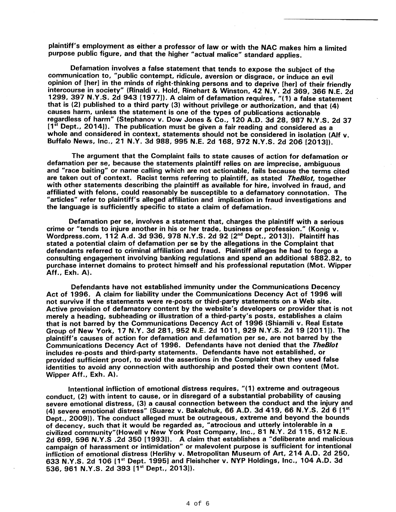plaintiff's employment as either a professor of law or with the NAC makes him a limited purpose public figure, and that the higher "actual malice" standard applies.

Defamation involves a false statement that tends to expose the subject of the communication to, "public contempt, ridicule, aversion or disgrace, or induce an evil opinion of [her] in the minds of right-thinking persons and to deprive [her] of their friendly intercourse in society" (Rinaldi v. Hold, Rinehart & Winston, 42 N.Y. 2d 369, 366 N.E. 2d 1299, 397 N.Y.S. 2d 943 [1977]). A claim of defamation requires, "(1) a false' statement that is (2) published to a third party (3) without privilege or authorization, and that (4) causes harm, unless the statement is one of the types of publications actionable regardless of harm" (Stephanov v. Dow Jones & Co., 120 A.D. 3d 28, 987 N.Y.S. 2d 37 [1<sup>st</sup> Dept., 2014]). The publication must be given a fair reading and considered as a whole and considered in context, statements should not be considered in isolation (Alf v. Buffalo News, Inc., 21 N.Y. 3d 988, 995 N.E. 2d 168, 972 N.Y.S. 2d 206 [2013]).

The argument that the Complaint fails to state causes of action for defamation or defamation per se, because the statements plaintiff relies on are imprecise, ambiguous and "race baiting" or name calling which are not actionable, fails because the terms cited are taken out of context. Racist terms referring to plaintiff, as stated TheBlot, together with other statements describing the plaintiff as available for hire, involved in fraud, and affiliated with felons. could reasonably be susceptible to a defamatory connotation. The "articles" refer to plaintiff's alleged affiliation and implication in fraud investigations and the language is sufficiently specific to state a claim of defamation.

Defamation per se, involves a statement that, charges the plaintiff with a serious crime or "tends to injure another in his or her trade, business or profession." (Konig v. Wordpress.com, 112 A.d. 3d 936, 978 N.Y.S. 2d 92 [2<sup>nd</sup> Dept., 2013]). Plaintiff has stated a potential claim of defamation per se by the allegations in the Complaint that defendants referred to criminal affiliation and fraud. Plaintiff alleges he had to forgo a consulting engagement involving banking regulations and spend an additional \$882.82, to purchase internet domains to protect himself and his professional reputation (Mot. Wipper Aff., Exh. A).

Defendants have not established immunity under the Communications Decency Act of 1996. A claim for liability under the Communications Decency Act of 1996 will not survive if the statements were re-posts or third-party statements on a Web site. Active provision of defamatory content by the website's developers or provider that is not merely a heading, subheading or illustration of a third-party's posts, establishes a claim that is not barred by the Communications Decency Act of 1996 (Shiamili v. Real Estate Group of New York, 17 N.Y. 3d 281, 952 N.E. 2d 1011, 929 N.Y.S. 2d 19 [2011]). The plaintiff's causes of action for defamation and defamation per se, are not barred by the Communications Decency Act of 1996. Defendants have not denied that the TheB/ot includes re-posts and third-party statements. Defendants have not established, or provided sufficient proof, to avoid the assertions in the Complaint that they used false identities to avoid any connection with authorship and posted their own content (Mot. Wipper Aff., Exh. A).

Intentional infliction of emotional distress requires, "(1) extreme and outrageous conduct, (2) with intent to cause, or in disregard of a substantial probability of causing severe emotional distress, (3) a causal connection between the conduct and the injury and (4) severe emotional distress" (Suarez v. Bakalchuk, 66 A.D. 3d 419, 66 N.Y.S. 2d 6 [1st] Dept., 2009]). The conduct alleged must be outrageous, extreme and beyond the bounds of decency, such that it would be regarded as, "atrocious and utterly intolerable in a civilized community"(Howell v New York Post Company, Inc., 81 N.Y. 2d 115,612 N.E. 2d 699, 596 N.Y.S .2d 350 [1993]). A claim that establishes a "deliberate and malicious campaign of harassment or intimidation" or malevolent purpose is sufficient for intentional infliction of emotional distress (Herlihy v. Metropolitan Museum of Art, 214 A.D. 2d 250, 633 N.Y.S. 2d 106 [1<sup>st</sup> Dept. 1995] and Fleishcher v. NYP Holdings, Inc., 104 A.D. 3d 536, 961 N.Y.S. 2d 393 [1<sup>st</sup> Dept., 2013]).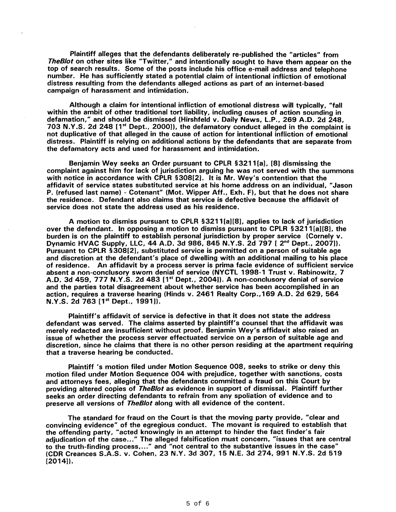Plaintiff alleges that the defendants deliberately re-published the "articles" from TheB/ot on other sites like "Twitter," and intentionally sought to have them appear on the top of search results. Some of the posts include his office e-mail address and telephone number. He has sufficiently stated a potential claim of intentional infliction of emotional distress resulting from the defendants alleged actions as part of an internet-based campaign of harassment and intimidation.

Although a claim for intentional infliction of emotional distress will typically, "fall within the ambit of other traditional tort liability, including causes of action sounding in defamation," and should be dismissed (Hirshfeld v. Daily News, L.P., 269 A.D. 2d 248, 703 N.Y.S. 2d 248 [1<sup>st</sup> Dept., 2000]), the defamatory conduct alleged in the complaint is not duplicative of that alleged in the cause of action for intentional infliction of emotional distress. Plaintiff is relying on additional actions by the defendants that are separate from the defamatory acts and used for harassment and intimidation.

Benjamin Wey seeks an Order pursuant to CPLR §3211 [a], [8] dismissing the complaint against him for lack of jurisdiction arguing he was not served with the summons with notice in accordance with CPLR §308[2]. It is Mr. Wey's contention that the affidavit of service states substituted service at his home address on an individual, "Jason P. (refused last name) - Cotenant" (Mot. Wipper Aff., Exh. F), but that he does not share the residence. Defendant also claims that service is defective because the affidavit of service does not state the address used as his residence.

A motion to dismiss pursuant to CPLR § 3211 [a] [8], applies to lack of jurisdiction over the defendant. In opposing a motion to dismiss pursuant to CPLR §3211 [a][8], the burden is on the plaintiff to establish personal jurisdiction by proper service (Cornely v. Dynamic HVAC Supply, LLC, 44 A.D. 3d 986, 845 N.V.S. 2d 797 [ 2nd Dept., 2007)). Pursuant to CPLR §308[2], substituted service is permitted on a person of suitable age and discretion at the defendant's place of dwelling with an additional mailing to his place of residence. An affidavit by a process server is prima facie evidence of sufficient service absent a non-conclusory sworn denial of service (NVCTL 1998-1 Trust v. Rabinowitz, 7 A.D. 3d 459, 777 N.Y.S. 2d 483 [1<sup>st</sup> Dept., 2004]). A non-conclusory denial of service and the parties total disagreement about whether service has been accomplished in an action, requires a traverse hearing (Hinds v. 2461 Realty Corp., 169 A.D. 2d 629, 564  $N.Y.S. 2d$  763  $[1<sup>st</sup>$  Dept., 1991]).

Plaintiff's affidavit of service is defective in that it does not state the address defendant was served. The claims asserted by plaintiff's counsel that the affidavit was merely redacted are insufficient without proof. Benjamin Wey's affidavit also raised an issue of whether the process server effectuated service on a person of suitable age and discretion, since he claims that there is no other person residing at the apartment requiring that a traverse hearing be conducted.

Plaintiff's motion filed under Motion Sequence 008, seeks to strike or deny this motion filed under Motion Sequence 004 with prejudice, together with sanctions, costs and attorneys fees, alleging that the defendants committed a fraud on this Court by providing altered copies of *TheBlot* as evidence in support of dismissal. Plaintiff further seeks an order directing defendants to refrain from any spoliation of evidence and to preserve all versions of *TheBlot* along with all evidence of the content.

The standard for fraud on the Court is that the moving party provide, "clear and convincing evidence" of the egregious conduct. The movant is required to establish that the offending party, "acted knowingly in an attempt to hinder the fact finder's fair adjudication of the case..." The alleged falsification must concern, "issues that are central to the truth-finding process,..." and "not central to the substantive issues in the case" (CDR Creances S.A.S. v. Cohen, 23 N.V. 3d 307, 15 N.E. 3d 274,991 N.V.S. 2d 519 [2014]).